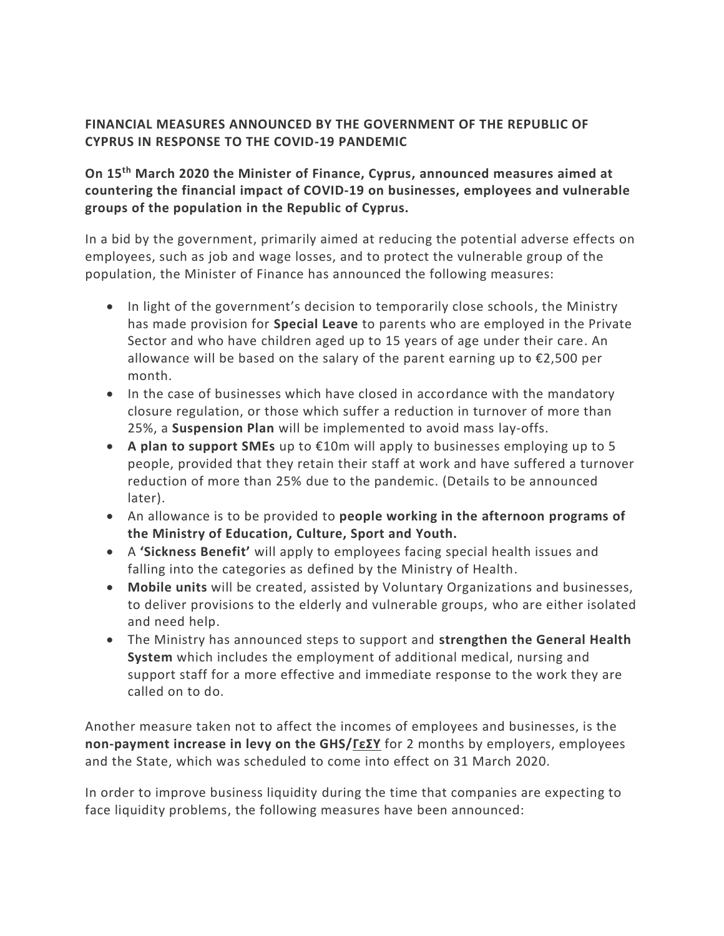## **FINANCIAL MEASURES ANNOUNCED BY THE GOVERNMENT OF THE REPUBLIC OF CYPRUS IN RESPONSE TO THE COVID-19 PANDEMIC**

## **On 15th March 2020 the Minister of Finance, Cyprus, announced measures aimed at countering the financial impact of COVID-19 on businesses, employees and vulnerable groups of the population in the Republic of Cyprus.**

In a bid by the government, primarily aimed at reducing the potential adverse effects on employees, such as job and wage losses, and to protect the vulnerable group of the population, the Minister of Finance has announced the following measures:

- In light of the government's decision to temporarily close schools, the Ministry has made provision for **Special Leave** to parents who are employed in the Private Sector and who have children aged up to 15 years of age under their care. An allowance will be based on the salary of the parent earning up to €2,500 per month.
- In the case of businesses which have closed in accordance with the mandatory closure regulation, or those which suffer a reduction in turnover of more than 25%, a **Suspension Plan** will be implemented to avoid mass lay-offs.
- **A plan to support SMEs** up to €10m will apply to businesses employing up to 5 people, provided that they retain their staff at work and have suffered a turnover reduction of more than 25% due to the pandemic. (Details to be announced later).
- An allowance is to be provided to **people working in the afternoon programs of the Ministry of Education, Culture, Sport and Youth.**
- A **'Sickness Benefit'** will apply to employees facing special health issues and falling into the categories as defined by the Ministry of Health.
- **Mobile units** will be created, assisted by Voluntary Organizations and businesses, to deliver provisions to the elderly and vulnerable groups, who are either isolated and need help.
- The Ministry has announced steps to support and **strengthen the General Health System** which includes the employment of additional medical, nursing and support staff for a more effective and immediate response to the work they are called on to do.

Another measure taken not to affect the incomes of employees and businesses, is the **non-payment increase in levy on the GHS/ΓεΣΥ** for 2 months by employers, employees and the State, which was scheduled to come into effect on 31 March 2020.

In order to improve business liquidity during the time that companies are expecting to face liquidity problems, the following measures have been announced: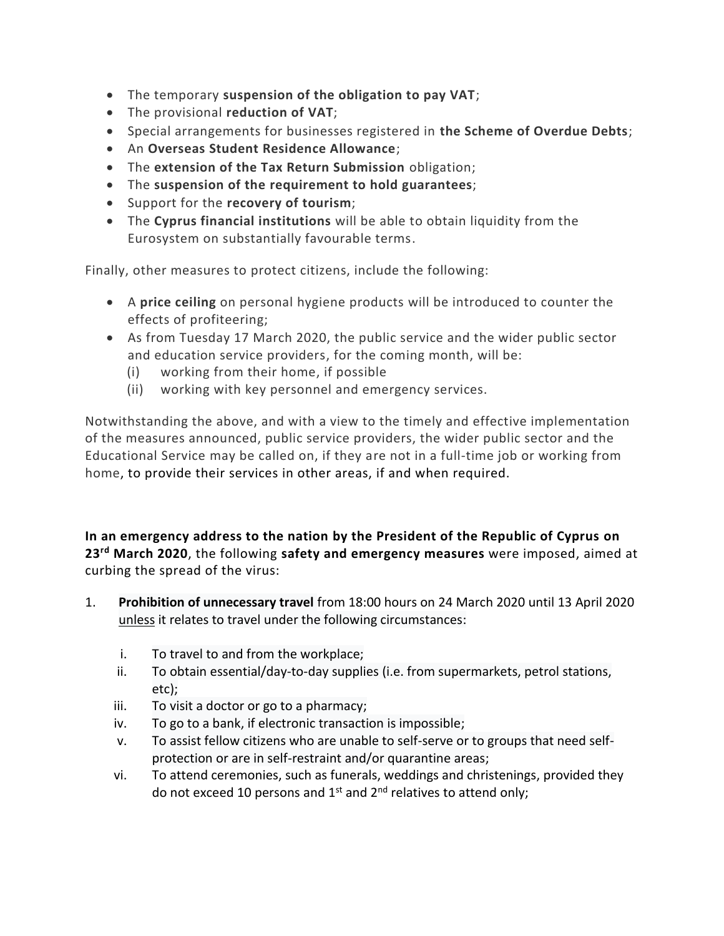- The temporary **suspension of the obligation to pay VAT**;
- The provisional **reduction of VAT**;
- Special arrangements for businesses registered in **the Scheme of Overdue Debts**;
- An **Overseas Student Residence Allowance**;
- The **extension of the Tax Return Submission** obligation;
- The **suspension of the requirement to hold guarantees**;
- Support for the **recovery of tourism**;
- The **Cyprus financial institutions** will be able to obtain liquidity from the Eurosystem on substantially favourable terms.

Finally, other measures to protect citizens, include the following:

- A **price ceiling** on personal hygiene products will be introduced to counter the effects of profiteering;
- As from Tuesday 17 March 2020, the public service and the wider public sector and education service providers, for the coming month, will be:
	- (i) working from their home, if possible
	- (ii) working with key personnel and emergency services.

Notwithstanding the above, and with a view to the timely and effective implementation of the measures announced, public service providers, the wider public sector and the Educational Service may be called on, if they are not in a full-time job or working from home, to provide their services in other areas, if and when required.

**In an emergency address to the nation by the President of the Republic of Cyprus on 23rd March 2020**, the following **safety and emergency measures** were imposed, aimed at curbing the spread of the virus:

- 1. **Prohibition of unnecessary travel** from 18:00 hours on 24 March 2020 until 13 April 2020 unless it relates to travel under the following circumstances:
	- i. To travel to and from the workplace;
	- ii. To obtain essential/day-to-day supplies (i.e. from supermarkets, petrol stations, etc);
	- iii. To visit a doctor or go to a pharmacy;
	- iv. To go to a bank, if electronic transaction is impossible;
	- v. To assist fellow citizens who are unable to self-serve or to groups that need selfprotection or are in self-restraint and/or quarantine areas;
	- vi. To attend ceremonies, such as funerals, weddings and christenings, provided they do not exceed 10 persons and  $1^{st}$  and  $2^{nd}$  relatives to attend only;